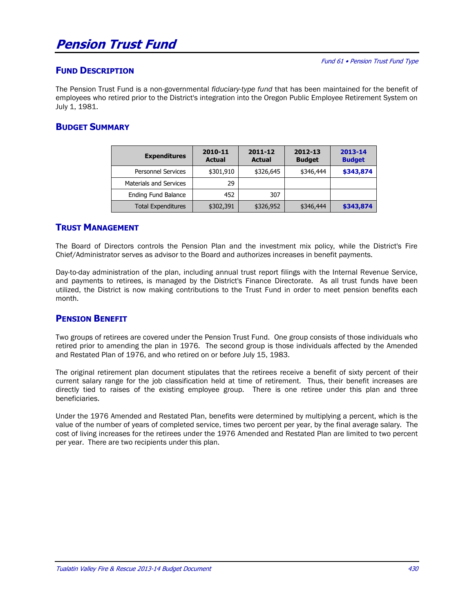# **Pension Trust Fund**

## **FUND DESCRIPTION**

The Pension Trust Fund is a non-governmental *fiduciary-type fund* that has been maintained for the benefit of employees who retired prior to the District's integration into the Oregon Public Employee Retirement System on July 1, 1981.

# **BUDGET SUMMARY**

| <b>Expenditures</b>           | 2010-11<br><b>Actual</b> | 2011-12<br><b>Actual</b> | 2012-13<br><b>Budget</b> | 2013-14<br><b>Budget</b> |  |  |
|-------------------------------|--------------------------|--------------------------|--------------------------|--------------------------|--|--|
| <b>Personnel Services</b>     | \$301,910                | \$326,645                | \$346,444                | \$343,874                |  |  |
| <b>Materials and Services</b> | 29                       |                          |                          |                          |  |  |
| Ending Fund Balance           | 452                      | 307                      |                          |                          |  |  |
| <b>Total Expenditures</b>     | \$302,391                | \$326,952                | \$346,444                | \$343,874                |  |  |

#### **TRUST MANAGEMENT**

The Board of Directors controls the Pension Plan and the investment mix policy, while the District's Fire Chief/Administrator serves as advisor to the Board and authorizes increases in benefit payments.

Day-to-day administration of the plan, including annual trust report filings with the Internal Revenue Service, and payments to retirees, is managed by the District's Finance Directorate. As all trust funds have been utilized, the District is now making contributions to the Trust Fund in order to meet pension benefits each month.

## **PENSION BENEFIT**

Two groups of retirees are covered under the Pension Trust Fund. One group consists of those individuals who retired prior to amending the plan in 1976. The second group is those individuals affected by the Amended and Restated Plan of 1976, and who retired on or before July 15, 1983.

The original retirement plan document stipulates that the retirees receive a benefit of sixty percent of their current salary range for the job classification held at time of retirement. Thus, their benefit increases are directly tied to raises of the existing employee group. There is one retiree under this plan and three beneficiaries.

Under the 1976 Amended and Restated Plan, benefits were determined by multiplying a percent, which is the value of the number of years of completed service, times two percent per year, by the final average salary. The cost of living increases for the retirees under the 1976 Amended and Restated Plan are limited to two percent per year. There are two recipients under this plan.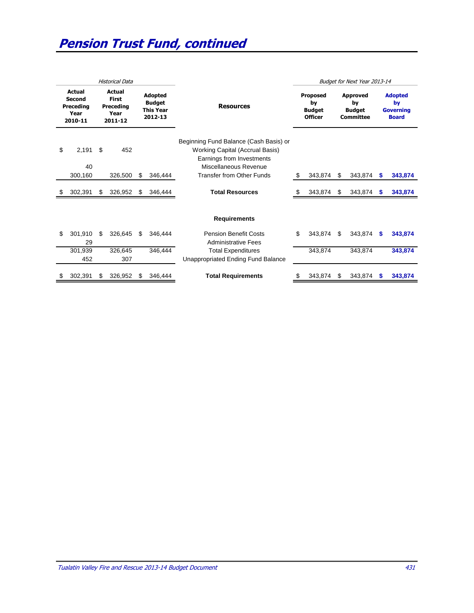| <b>Historical Data</b>                           |                |                                                        |                |                                                                |         |                                                                                                                                 |                                                          |         | Budget for Next Year 2013-14                               |         |                                                          |         |
|--------------------------------------------------|----------------|--------------------------------------------------------|----------------|----------------------------------------------------------------|---------|---------------------------------------------------------------------------------------------------------------------------------|----------------------------------------------------------|---------|------------------------------------------------------------|---------|----------------------------------------------------------|---------|
| Actual<br>Second<br>Precedina<br>Year<br>2010-11 |                | Actual<br><b>First</b><br>Precedina<br>Year<br>2011-12 |                | <b>Adopted</b><br><b>Budget</b><br><b>This Year</b><br>2012-13 |         | <b>Resources</b>                                                                                                                | <b>Proposed</b><br>by<br><b>Budget</b><br><b>Officer</b> |         | <b>Approved</b><br>by<br><b>Budget</b><br><b>Committee</b> |         | <b>Adopted</b><br>by<br><b>Governing</b><br><b>Board</b> |         |
| \$                                               | 2,191<br>40    | \$                                                     | 452            |                                                                |         | Beginning Fund Balance (Cash Basis) or<br>Working Capital (Accrual Basis)<br>Earnings from Investments<br>Miscellaneous Revenue |                                                          |         |                                                            |         |                                                          |         |
|                                                  | 300,160        |                                                        | 326,500        | \$                                                             | 346,444 | <b>Transfer from Other Funds</b>                                                                                                |                                                          | 343,874 | \$                                                         | 343,874 | S                                                        | 343,874 |
|                                                  | 302,391        | \$                                                     | 326,952        | -S                                                             | 346,444 | <b>Total Resources</b>                                                                                                          |                                                          | 343,874 | \$.                                                        | 343,874 | -S                                                       | 343,874 |
|                                                  |                |                                                        |                |                                                                |         | <b>Requirements</b>                                                                                                             |                                                          |         |                                                            |         |                                                          |         |
| \$                                               | 301,910<br>29  | \$                                                     | 326,645        | \$                                                             | 346,444 | <b>Pension Benefit Costs</b><br><b>Administrative Fees</b>                                                                      | \$                                                       | 343,874 | \$                                                         | 343,874 | - \$                                                     | 343,874 |
|                                                  | 301,939<br>452 |                                                        | 326,645<br>307 |                                                                | 346,444 | <b>Total Expenditures</b><br>Unappropriated Ending Fund Balance                                                                 |                                                          | 343,874 |                                                            | 343,874 |                                                          | 343,874 |
| S                                                | 302,391        | S                                                      | 326,952        | -S                                                             | 346,444 | <b>Total Requirements</b>                                                                                                       |                                                          | 343,874 | S                                                          | 343,874 | - \$                                                     | 343,874 |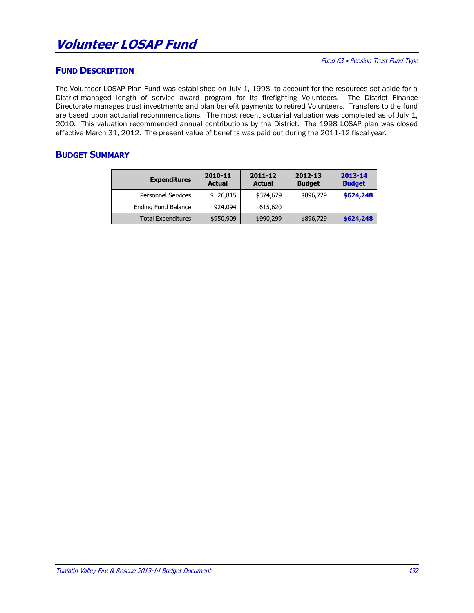# **FUND DESCRIPTION**

The Volunteer LOSAP Plan Fund was established on July 1, 1998, to account for the resources set aside for a District-managed length of service award program for its firefighting Volunteers. The District Finance Directorate manages trust investments and plan benefit payments to retired Volunteers. Transfers to the fund are based upon actuarial recommendations. The most recent actuarial valuation was completed as of July 1, 2010. This valuation recommended annual contributions by the District. The 1998 LOSAP plan was closed effective March 31, 2012. The present value of benefits was paid out during the 2011-12 fiscal year.

## **BUDGET SUMMARY**

| <b>Expenditures</b>       | 2010-11<br><b>Actual</b> | 2011-12<br><b>Actual</b> | 2012-13<br><b>Budget</b> | 2013-14<br><b>Budget</b> |  |  |
|---------------------------|--------------------------|--------------------------|--------------------------|--------------------------|--|--|
| <b>Personnel Services</b> | \$26,815                 | \$374,679                | \$896,729                | \$624,248                |  |  |
| Ending Fund Balance       | 924.094                  | 615,620                  |                          |                          |  |  |
| <b>Total Expenditures</b> | \$950,909                | \$990,299                | \$896,729                | \$624,248                |  |  |